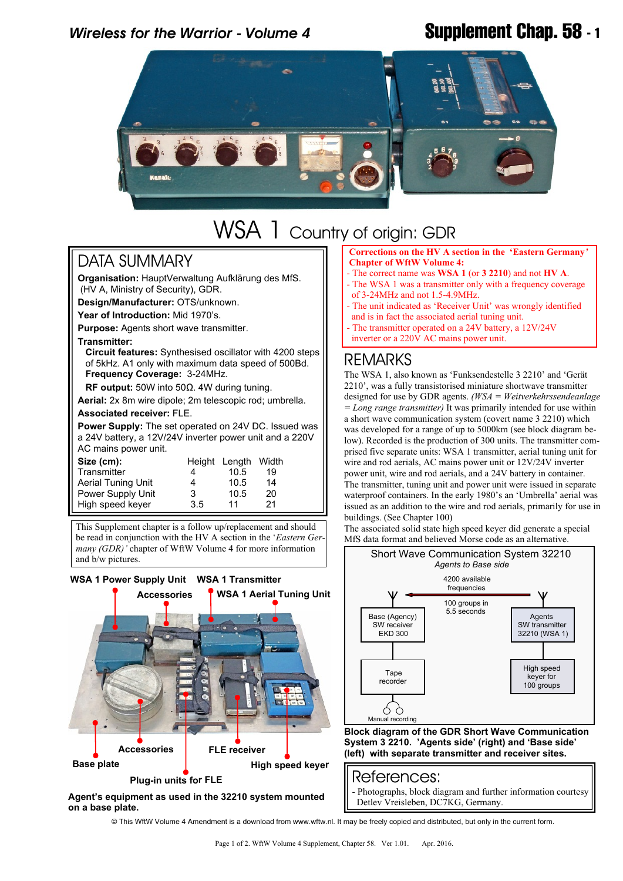# *Wireless for the Warrior - Volume 4* **Supplement Chap. 58 - 1**



# WSA 1 Country of origin: GDR

### DATA SUMMARY

**Organisation:** HauptVerwaltung Aufklärung des MfS. (HV A, Ministry of Security), GDR.

**Design/Manufacturer:** OTS/unknown.

**Year of Introduction:** Mid 1970's.

**Purpose:** Agents short wave transmitter.

### **Transmitter:**

**Circuit features:** Synthesised oscillator with 4200 steps of 5kHz. A1 only with maximum data speed of 500Bd.  **Frequency Coverage:** 3-24MHz.

 **RF output:** 50W into 50Ω. 4W during tuning.

**Aerial:** 2x 8m wire dipole; 2m telescopic rod; umbrella. **Associated receiver:** FLE.

**Power Supply:** The set operated on 24V DC. Issued was a 24V battery, a 12V/24V inverter power unit and a 220V AC mains power unit.

| Size (cm):                |     | Height Length Width |    |
|---------------------------|-----|---------------------|----|
| Transmitter               |     | 10.5                | 19 |
| <b>Aerial Tuning Unit</b> | 4   | 10.5                | 14 |
| Power Supply Unit         | 3   | 10.5                | 20 |
| High speed keyer          | 3.5 | 11                  | 21 |

This Supplement chapter is a follow up/replacement and should be read in conjunction with the HV A section in the '*Eastern Germany (GDR)'* chapter of WftW Volume 4 for more information and b/w pictures.



**Agent's equipment as used in the 32210 system mounted on a base plate.**

 **Corrections on the HV A section in the 'Eastern Germany***'*  **Chapter of WftW Volume 4:**

- The correct name was **WSA 1** (or **3 2210**) and not **HV A**.
- The WSA 1 was a transmitter only with a frequency coverage of 3-24MHz and not 1.5-4.9MHz.
- The unit indicated as 'Receiver Unit' was wrongly identified and is in fact the associated aerial tuning unit.
- The transmitter operated on a 24V battery, a 12V/24V
- inverter or a 220V AC mains power unit.

## REMARKS

The WSA 1, also known as 'Funksendestelle 3 2210' and 'Gerät 2210', was a fully transistorised miniature shortwave transmitter designed for use by GDR agents. *(WSA = Weitverkehrssendeanlage = Long range transmitter)* It was primarily intended for use within a short wave communication system (covert name 3 2210) which was developed for a range of up to 5000km (see block diagram below). Recorded is the production of 300 units. The transmitter comprised five separate units: WSA 1 transmitter, aerial tuning unit for wire and rod aerials, AC mains power unit or 12V/24V inverter power unit, wire and rod aerials, and a 24V battery in container. The transmitter, tuning unit and power unit were issued in separate waterproof containers. In the early 1980's an 'Umbrella' aerial was issued as an addition to the wire and rod aerials, primarily for use in buildings. (See Chapter 100)

The associated solid state high speed keyer did generate a special MfS data format and believed Morse code as an alternative.



**Block diagram of the GDR Short Wave Communication System 3 2210. 'Agents side' (right) and 'Base side' (left) with separate transmitter and receiver sites.**

### References:

- Photographs, block diagram and further information courtesy Detlev Vreisleben, DC7KG, Germany.

© This WftW Volume 4 Amendment is a download from www.wftw.nl. It may be freely copied and distributed, but only in the current form.